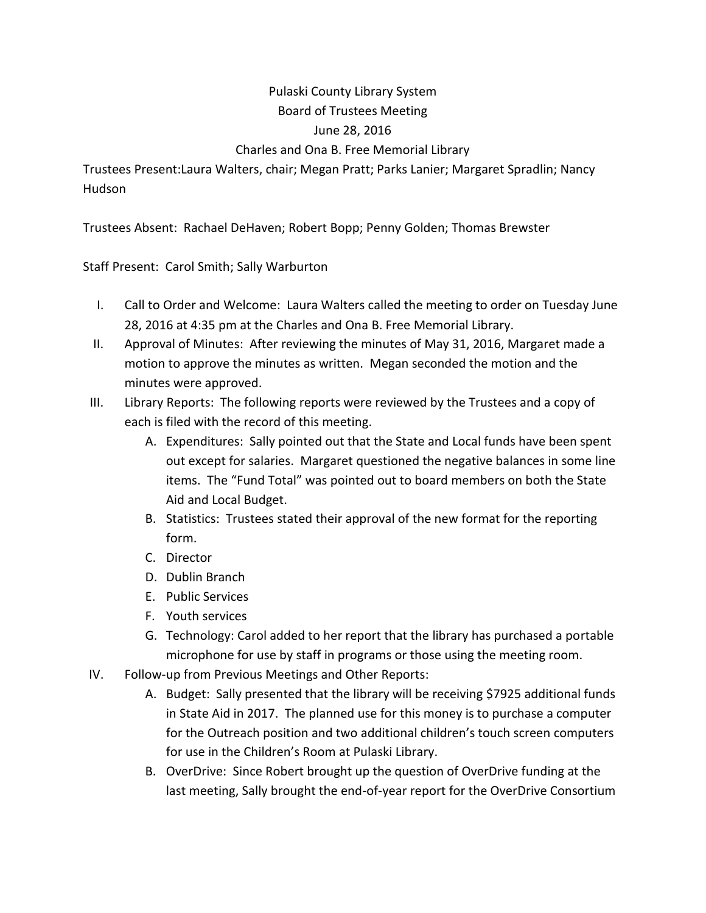## Pulaski County Library System Board of Trustees Meeting June 28, 2016

## Charles and Ona B. Free Memorial Library

Trustees Present:Laura Walters, chair; Megan Pratt; Parks Lanier; Margaret Spradlin; Nancy Hudson

Trustees Absent: Rachael DeHaven; Robert Bopp; Penny Golden; Thomas Brewster

Staff Present: Carol Smith; Sally Warburton

- I. Call to Order and Welcome: Laura Walters called the meeting to order on Tuesday June 28, 2016 at 4:35 pm at the Charles and Ona B. Free Memorial Library.
- II. Approval of Minutes: After reviewing the minutes of May 31, 2016, Margaret made a motion to approve the minutes as written. Megan seconded the motion and the minutes were approved.
- III. Library Reports: The following reports were reviewed by the Trustees and a copy of each is filed with the record of this meeting.
	- A. Expenditures: Sally pointed out that the State and Local funds have been spent out except for salaries. Margaret questioned the negative balances in some line items. The "Fund Total" was pointed out to board members on both the State Aid and Local Budget.
	- B. Statistics: Trustees stated their approval of the new format for the reporting form.
	- C. Director
	- D. Dublin Branch
	- E. Public Services
	- F. Youth services
	- G. Technology: Carol added to her report that the library has purchased a portable microphone for use by staff in programs or those using the meeting room.
- IV. Follow-up from Previous Meetings and Other Reports:
	- A. Budget: Sally presented that the library will be receiving \$7925 additional funds in State Aid in 2017. The planned use for this money is to purchase a computer for the Outreach position and two additional children's touch screen computers for use in the Children's Room at Pulaski Library.
	- B. OverDrive: Since Robert brought up the question of OverDrive funding at the last meeting, Sally brought the end-of-year report for the OverDrive Consortium